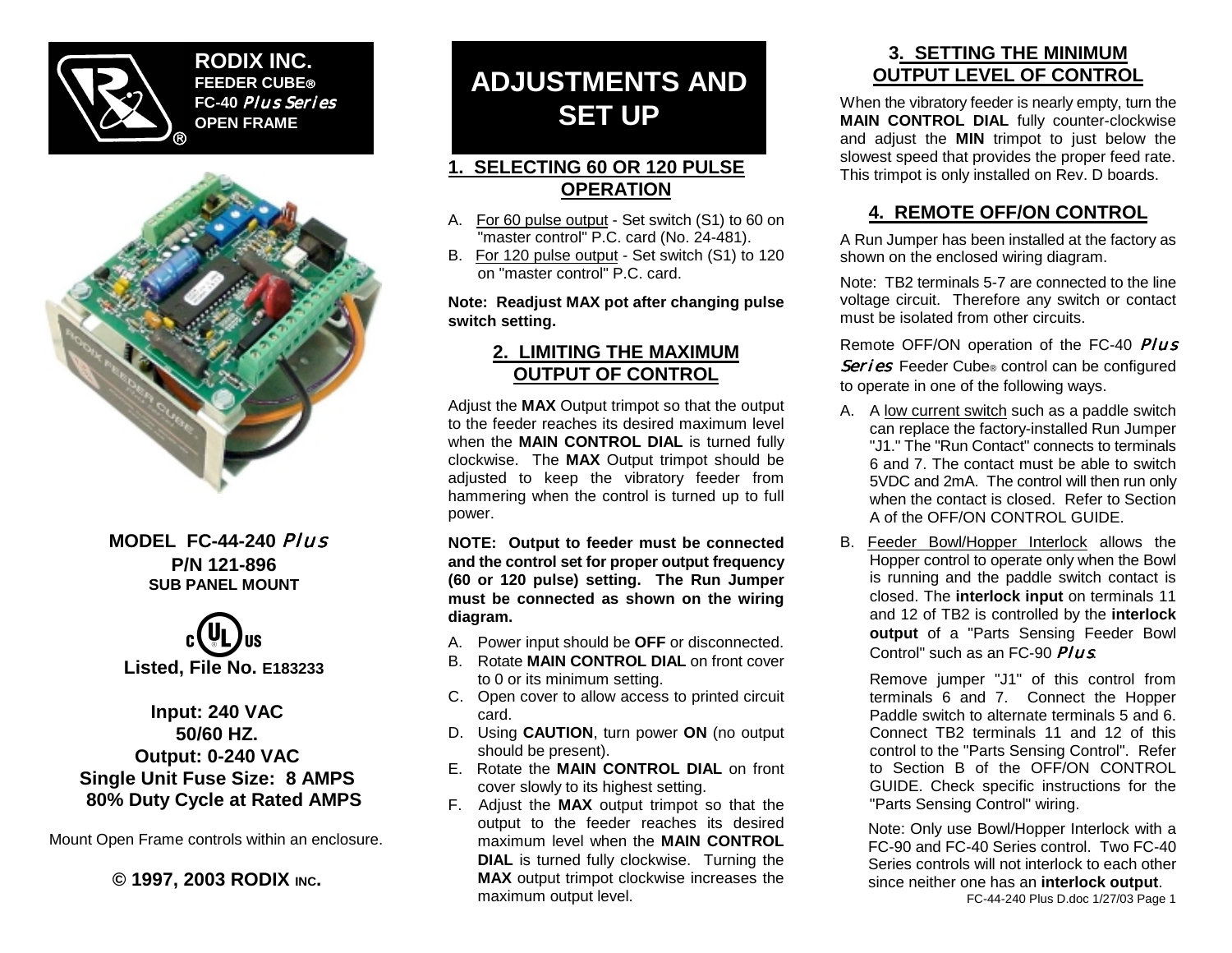

**RODIX INC. FEEDER CUBE FC-40** *Plus Series* **OPEN FRAME**



## **MODEL FC-44-240** *Plus* **P/N 121-896 SUB PANEL MOUNT**



### **Input: 240 VAC 50/60 HZ. Output: 0-240 VAC Single Unit Fuse Size: 8 AMPS 80% Duty Cycle at Rated AMPS**

Mount Open Frame controls within an enclosure.

**© 1997, 2003 RODIX INC.**

# **ADJUSTMENTS AND SET UP**

## **1. SELECTING 60 OR 120 PULSE OPERATION**

- A. For 60 pulse output Set switch (S1) to 60 on "master control" P.C. card (No. 24-481).
- B. For 120 pulse output Set switch (S1) to 120 on "master control" P.C. card.

**Note: Readjust MAX pot after changing pulse switch setting.**

#### **2. LIMITING THE MAXIMUM OUTPUT OF CONTROL**

Adjust the **MAX** Output trimpot so that the output to the feeder reaches its desired maximum level when the **MAIN CONTROL DIAL** is turned fully clockwise. The **MAX** Output trimpot should be adjusted to keep the vibratory feeder from hammering when the control is turned up to full power.

**NOTE: Output to feeder must be connected and the control set for proper output frequency (60 or 120 pulse) setting. The Run Jumper must be connected as shown on the wiring diagram.**

- A. Power input should be **OFF** or disconnected.
- B. Rotate **MAIN CONTROL DIAL** on front cover to 0 or its minimum setting.
- C. Open cover to allow access to printed circuit card.
- D. Using **CAUTION**, turn power **ON** (no output should be present).
- E. Rotate the **MAIN CONTROL DIAL** on front cover slowly to its highest setting.
- F. Adjust the **MAX** output trimpot so that the output to the feeder reaches its desired maximum level when the **MAIN CONTROL DIAL** is turned fully clockwise. Turning the **MAX** output trimpot clockwise increases the maximum output level.

## **3. SETTING THE MINIMUM OUTPUT LEVEL OF CONTROL**

When the vibratory feeder is nearly empty, turn the **MAIN CONTROL DIAL** fully counter-clockwise and adjust the **MIN** trimpot to just below the slowest speed that provides the proper feed rate. This trimpot is only installed on Rev. D boards.

## **4. REMOTE OFF/ON CONTROL**

A Run Jumper has been installed at the factory as shown on the enclosed wiring diagram.

Note: TB2 terminals 5-7 are connected to the line voltage circuit. Therefore any switch or contact must be isolated from other circuits.

Remote OFF/ON operation of the FC-40 *Plus Series* Feeder Cube ® control can be configured to operate in one of the following ways.

- A. A low current switch such as a paddle switch can replace the factory-installed Run Jumper "J1." The "Run Contact" connects to terminals 6 and 7. The contact must be able to switch 5VDC and 2mA. The control will then run only when the contact is closed. Refer to Section A of the OFF/ON CONTROL GUIDE.
- B. Feeder Bowl/Hopper Interlock allows the Hopper control to operate only when the Bowl is running and the paddle switch contact is closed. The **interlock input** on terminals 11 and 12 of TB2 is controlled by the **interlock output** of a "Parts Sensing Feeder Bowl Control" such as an FC-90 *Plus*.

Remove jumper "J1" of this control from terminals 6 and 7. Connect the Hopper Paddle switch to alternate terminals 5 and 6. Connect TB2 terminals 11 and 12 of this control to the "Parts Sensing Control". Refer to Section B of the OFF/ON CONTROL GUIDE. Check specific instructions for the "Parts Sensing Control" wiring.

Note: Only use Bowl/Hopper Interlock with a FC-90 and FC-40 Series control. Two FC-40 Series controls will not interlock to each other since neither one has an **interlock output**.

FC-44-240 Plus D.doc 1/27/03 Page 1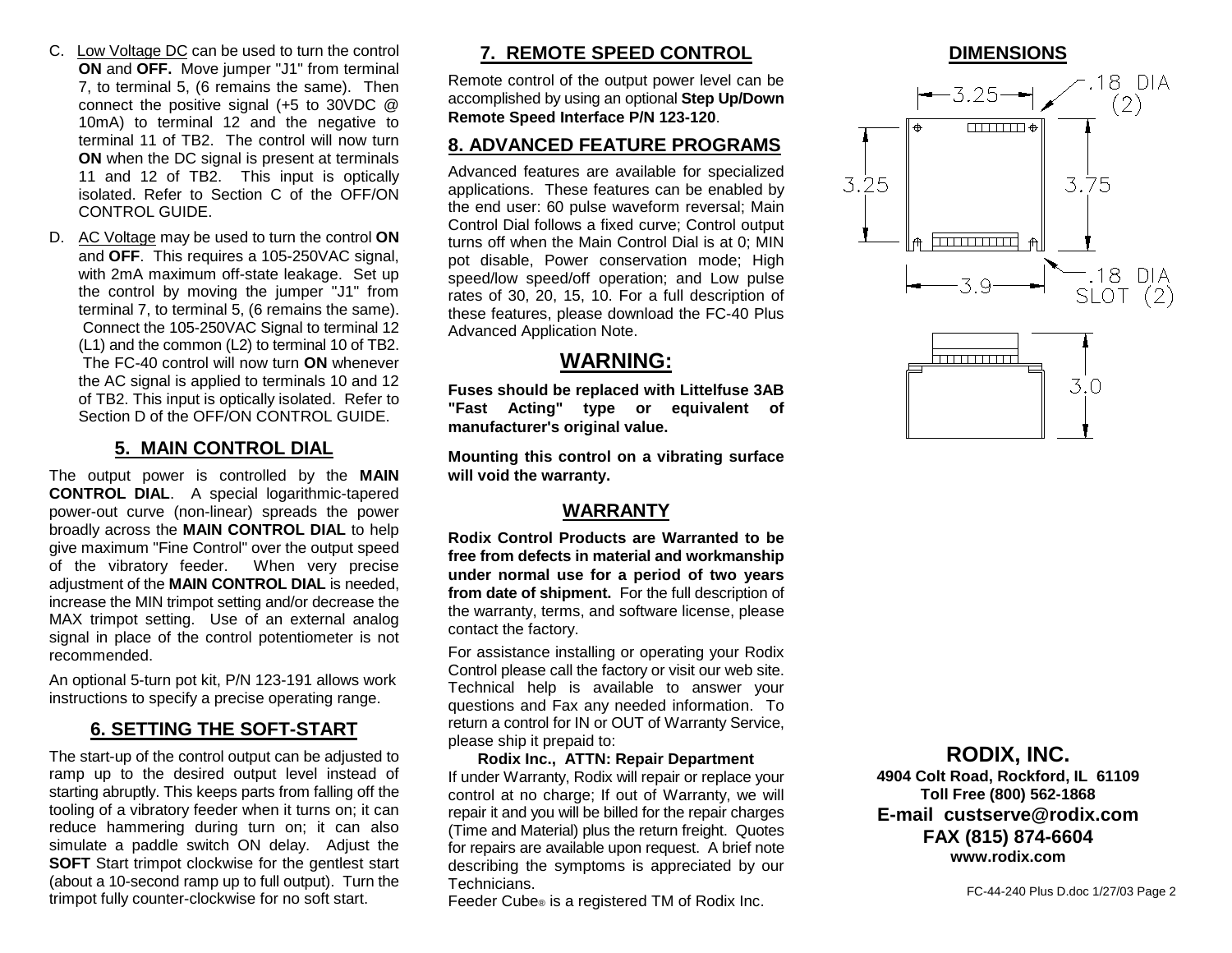- C. Low Voltage DC can be used to turn the control **ON** and **OFF.** Move jumper "J1" from terminal 7, to terminal 5, (6 remains the same). Then connect the positive signal (+5 to 30VDC @ 10mA) to terminal 12 and the negative to terminal 11 of TB2. The control will now turn **ON** when the DC signal is present at terminals 11 and 12 of TB2. This input is optically isolated. Refer to Section C of the OFF/ON CONTROL GUIDE.
- D. AC Voltage may be used to turn the control **ON** and **OFF**. This requires a 105-250VAC signal, with 2mA maximum off-state leakage. Set up the control by moving the jumper "J1" from terminal 7, to terminal 5, (6 remains the same). Connect the 105-250VAC Signal to terminal 12 (L1) and the common (L2) to terminal 10 of TB2. The FC-40 control will now turn **ON** whenever the AC signal is applied to terminals 10 and 12 of TB2. This input is optically isolated. Refer to Section D of the OFF/ON CONTROL GUIDE.

#### **5. MAIN CONTROL DIAL**

The output power is controlled by the **MAIN CONTROL DIAL**. A special logarithmic-tapered power-out curve (non-linear) spreads the power broadly across the **MAIN CONTROL DIAL** to help give maximum "Fine Control" over the output speed of the vibratory feeder. When very precise adjustment of the **MAIN CONTROL DIAL** is needed, increase the MIN trimpot setting and/or decrease the MAX trimpot setting. Use of an external analog signal in place of the control potentiometer is not recommended.

An optional 5-turn pot kit, P/N 123-191 allows work instructions to specify a precise operating range.

#### **6. SETTING THE SOFT-START**

The start-up of the control output can be adjusted to ramp up to the desired output level instead of starting abruptly. This keeps parts from falling off the tooling of a vibratory feeder when it turns on; it can reduce hammering during turn on; it can also simulate a paddle switch ON delay. Adjust the **SOFT** Start trimpot clockwise for the gentlest start (about a 10-second ramp up to full output). Turn the trimpot fully counter-clockwise for no soft start.

## **7. REMOTE SPEED CONTROL**

Remote control of the output power level can be accomplished by using an optional **Step Up/Down Remote Speed Interface P/N 123-120**.

#### **8. ADVANCED FEATURE PROGRAMS**

Advanced features are available for specialized applications. These features can be enabled by the end user: 60 pulse waveform reversal; Main Control Dial follows a fixed curve; Control output turns off when the Main Control Dial is at 0; MIN pot disable, Power conservation mode; High speed/low speed/off operation; and Low pulse rates of 30, 20, 15, 10. For a full description of these features, please download the FC-40 Plus Advanced Application Note.

#### **WARNING:**

**Fuses should be replaced with Littelfuse 3AB "Fast Acting" type or equivalent of manufacturer's original value.**

**Mounting this control on a vibrating surface will void the warranty.**

#### **WARRANTY**

**Rodix Control Products are Warranted to be free from defects in material and workmanship under normal use for a period of two years from date of shipment.** For the full description of the warranty, terms, and software license, please contact the factory.

For assistance installing or operating your Rodix Control please call the factory or visit our web site. Technical help is available to answer your questions and Fax any needed information. To return a control for IN or OUT of Warranty Service, please ship it prepaid to:

**Rodix Inc., ATTN: Repair Department** If under Warranty, Rodix will repair or replace your control at no charge; If out of Warranty, we will repair it and you will be billed for the repair charges (Time and Material) plus the return freight. Quotes for repairs are available upon request. A brief note describing the symptoms is appreciated by our Technicians.

Feeder Cube ® is a registered TM of Rodix Inc.

#### **DIMENSIONS**





#### **RODIX, INC.**

**4904 Colt Road, Rockford, IL 61109 Toll Free (800) 562-1868 E-mail custserve@rodix.com FAX (815) 874-6604 www.rodix.com**

FC-44-240 Plus D.doc 1/27/03 Page 2